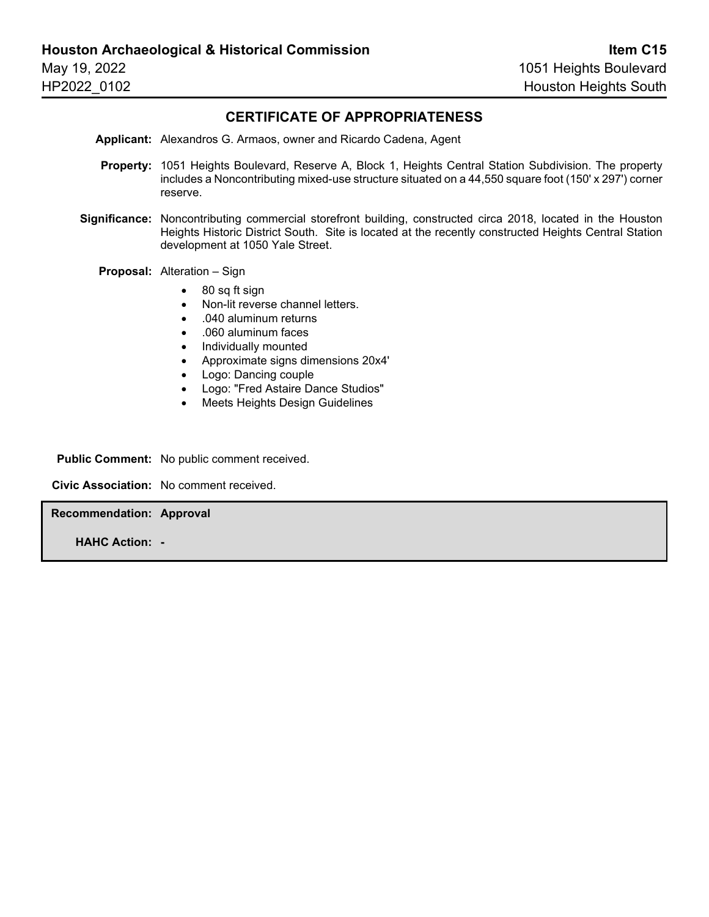#### **CERTIFICATE OF APPROPRIATENESS**

**Applicant:** Alexandros G. Armaos, owner and Ricardo Cadena, Agent

- **Property:** 1051 Heights Boulevard, Reserve A, Block 1, Heights Central Station Subdivision. The property includes a Noncontributing mixed-use structure situated on a 44,550 square foot (150' x 297') corner reserve.
- **Significance:** Noncontributing commercial storefront building, constructed circa 2018, located in the Houston Heights Historic District South. Site is located at the recently constructed Heights Central Station development at 1050 Yale Street.

**Proposal:** Alteration – Sign

- 80 sq ft sign
- Non-lit reverse channel letters.
- .040 aluminum returns
- .060 aluminum faces
- Individually mounted
- Approximate signs dimensions 20x4'
- Logo: Dancing couple
- Logo: "Fred Astaire Dance Studios"
- Meets Heights Design Guidelines

**Public Comment:** No public comment received.

**Civic Association:** No comment received.

**Recommendation: Approval**

**HAHC Action: -**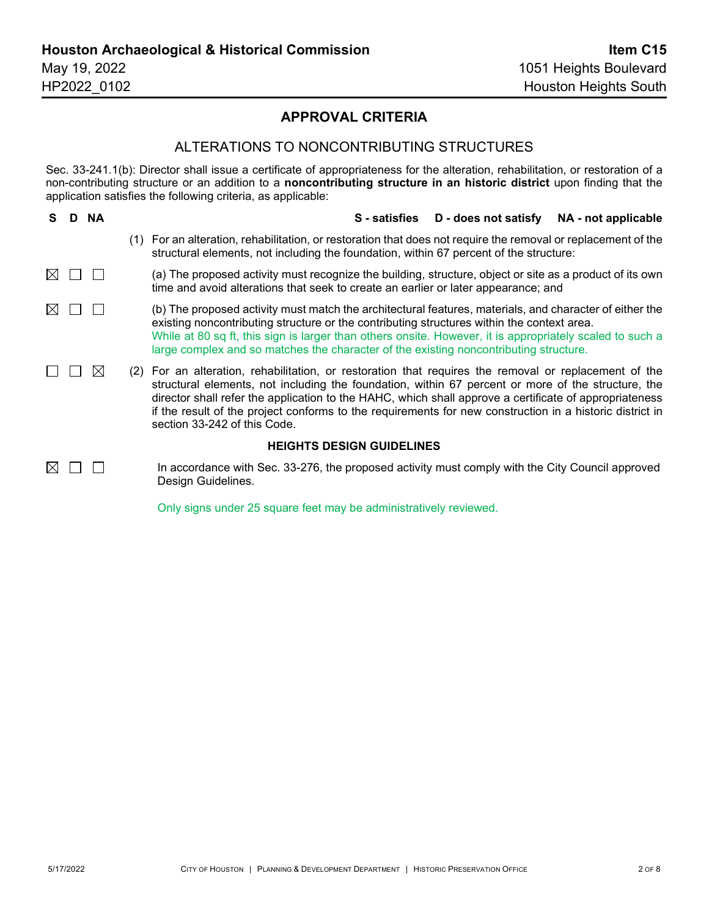#### **APPROVAL CRITERIA**

#### ALTERATIONS TO NONCONTRIBUTING STRUCTURES

Sec. 33-241.1(b): Director shall issue a certificate of appropriateness for the alteration, rehabilitation, or restoration of a non-contributing structure or an addition to a **noncontributing structure in an historic district** upon finding that the application satisfies the following criteria, as applicable:

| S.                               |  | D NA |     | S - satisfies D - does not satisfy<br>NA - not applicable                                                                                                                                                                                                                                                                                                                                                                                                     |
|----------------------------------|--|------|-----|---------------------------------------------------------------------------------------------------------------------------------------------------------------------------------------------------------------------------------------------------------------------------------------------------------------------------------------------------------------------------------------------------------------------------------------------------------------|
|                                  |  |      |     | For an alteration, rehabilitation, or restoration that does not require the removal or replacement of the<br>structural elements, not including the foundation, within 67 percent of the structure:                                                                                                                                                                                                                                                           |
| $\bowtie$                        |  |      |     | (a) The proposed activity must recognize the building, structure, object or site as a product of its own<br>time and avoid alterations that seek to create an earlier or later appearance; and                                                                                                                                                                                                                                                                |
| $\boxtimes$                      |  |      |     | (b) The proposed activity must match the architectural features, materials, and character of either the<br>existing noncontributing structure or the contributing structures within the context area.<br>While at 80 sq ft, this sign is larger than others onsite. However, it is appropriately scaled to such a<br>large complex and so matches the character of the existing noncontributing structure.                                                    |
|                                  |  | IХ   | (2) | For an alteration, rehabilitation, or restoration that requires the removal or replacement of the<br>structural elements, not including the foundation, within 67 percent or more of the structure, the<br>director shall refer the application to the HAHC, which shall approve a certificate of appropriateness<br>if the result of the project conforms to the requirements for new construction in a historic district in<br>section 33-242 of this Code. |
| <b>HEIGHTS DESIGN GUIDELINES</b> |  |      |     |                                                                                                                                                                                                                                                                                                                                                                                                                                                               |
| IX                               |  |      |     | In accordance with Sec. 33-276, the proposed activity must comply with the City Council approved<br>Design Guidelines.                                                                                                                                                                                                                                                                                                                                        |

Only signs under 25 square feet may be administratively reviewed.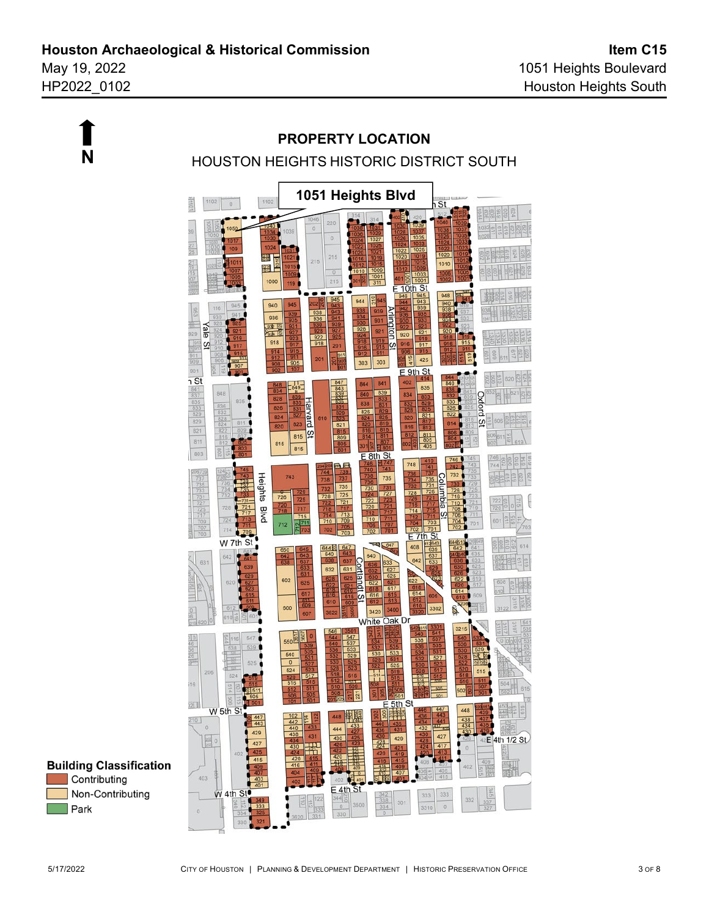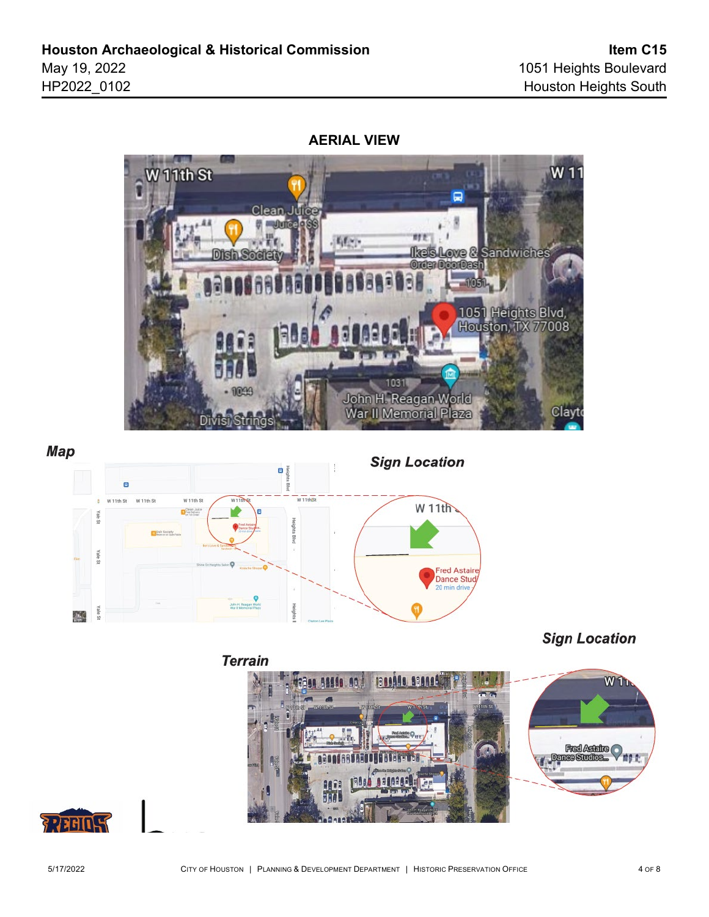**AERIAL VIEW**





**Sign Location** 



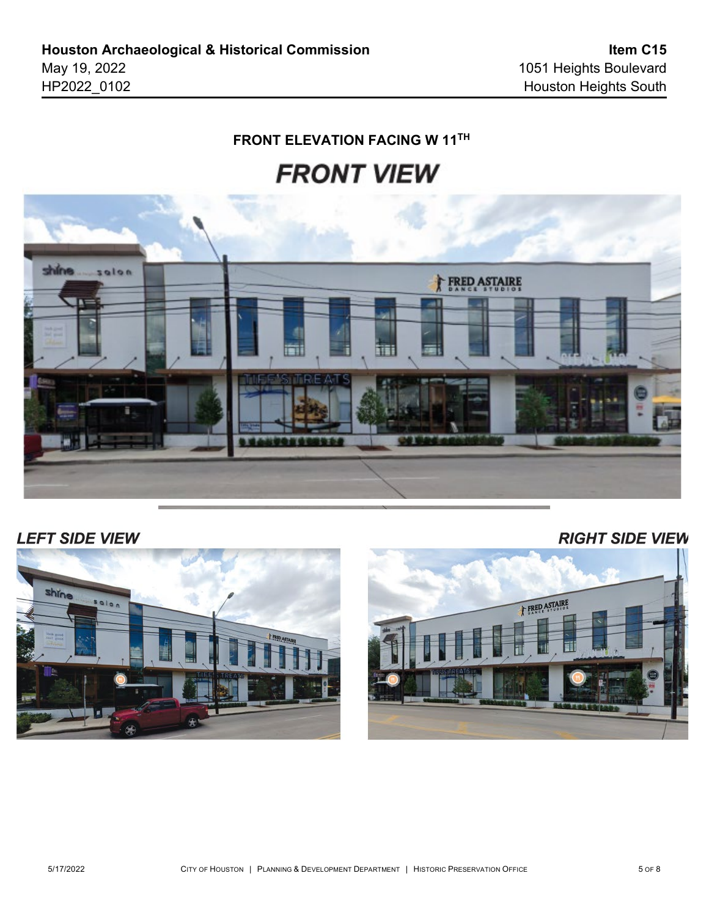#### **FRONT ELEVATION FACING W 11TH**





## **LEFT SIDE VIEW**

**RIGHT SIDE VIEW** 



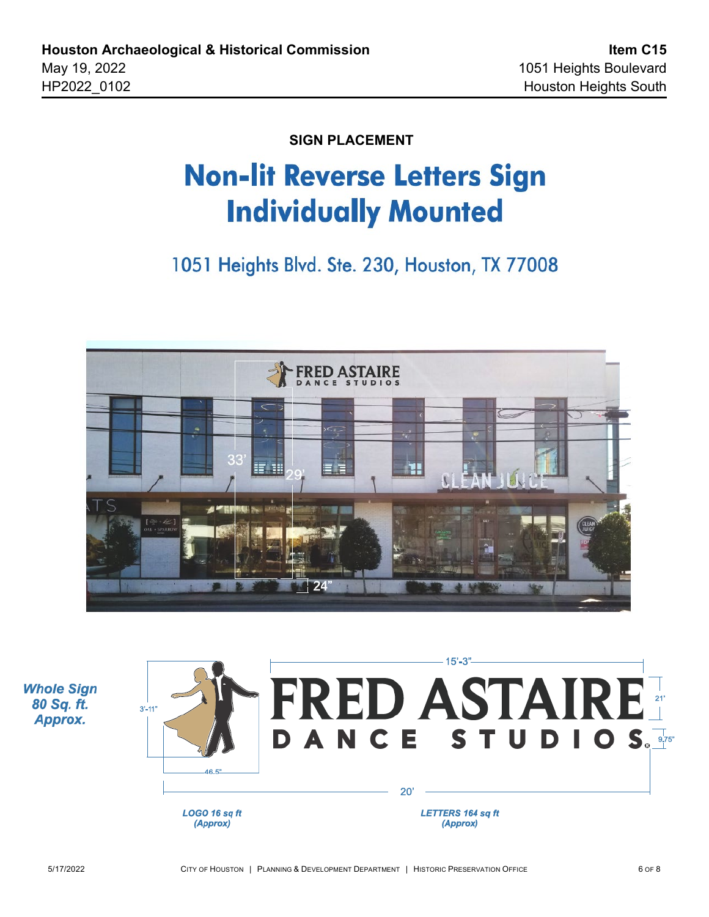**SIGN PLACEMENT**

# **Non-lit Reverse Letters Sign Individually Mounted**

1051 Heights Blvd. Ste. 230, Houston, TX 77008



**Whole Sign** 80 Sq. ft. Approx.

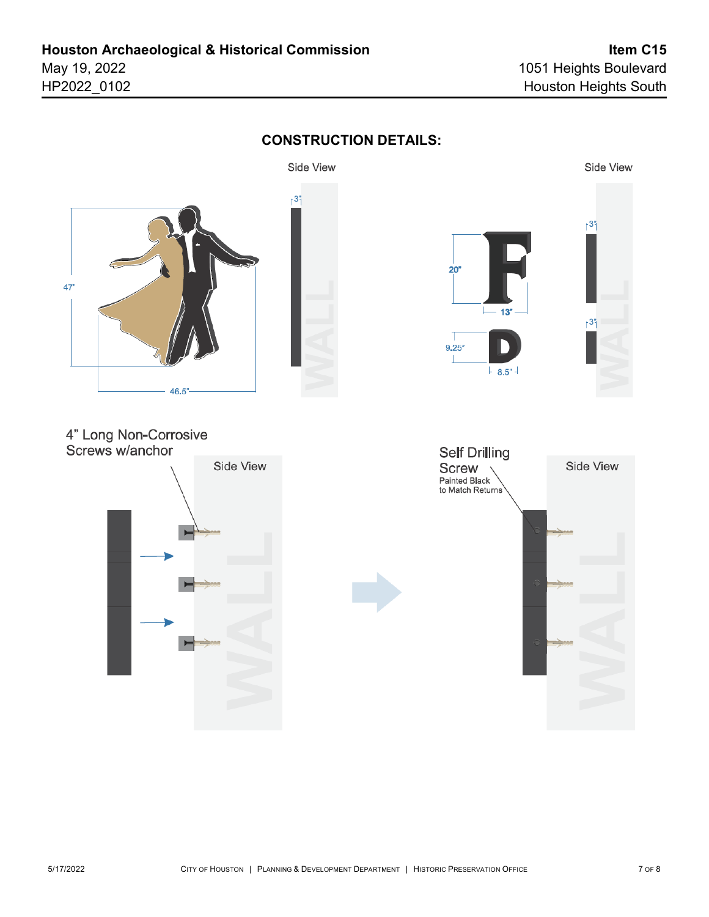

## **CONSTRUCTION DETAILS:**